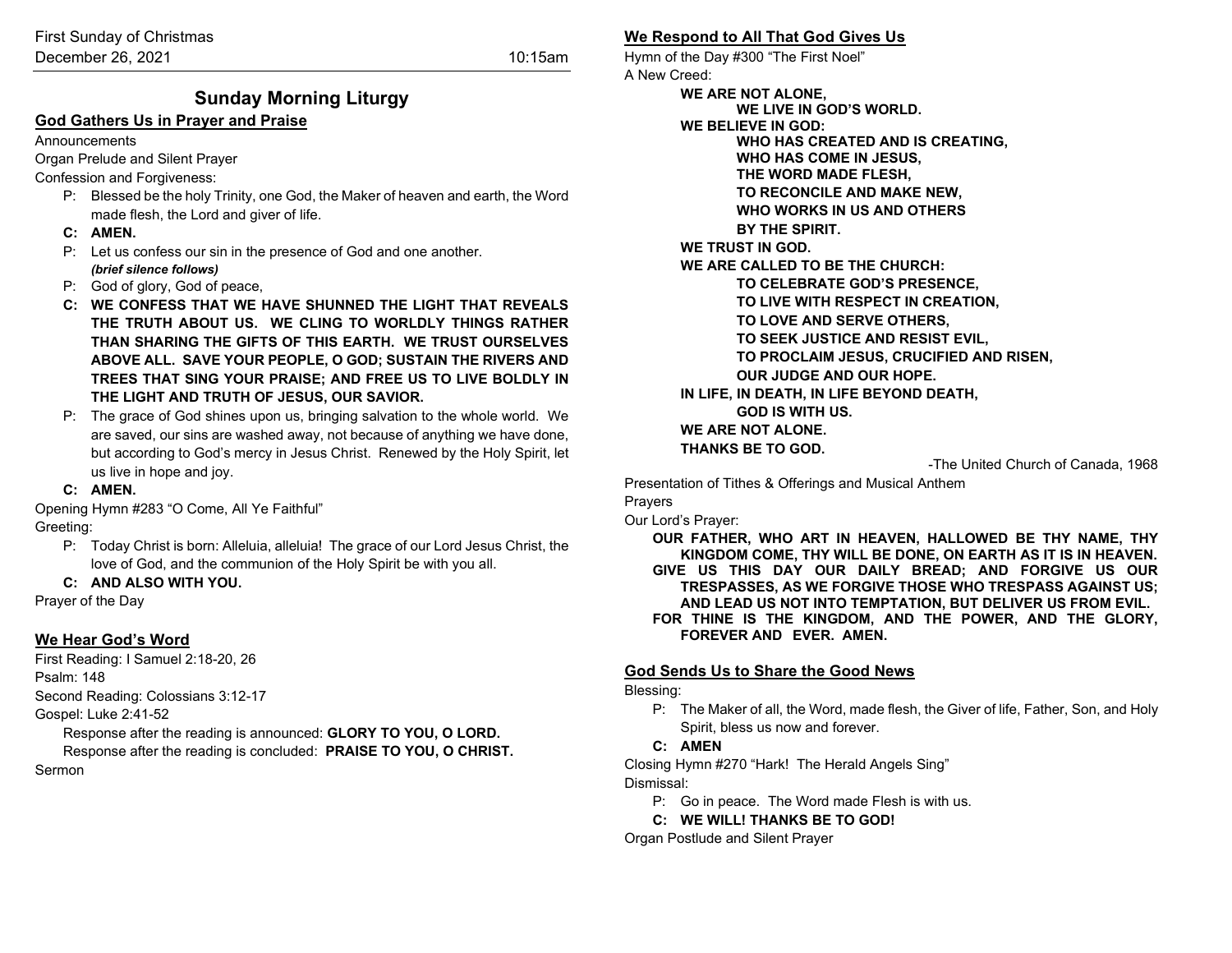December 26, 2021 **10:15am** 10:15am

# **Sunday Morning Liturgy**

# **God Gathers Us in Prayer and Praise**

#### **Announcements**

Organ Prelude and Silent Prayer

Confession and Forgiveness:

- P: Blessed be the holy Trinity, one God, the Maker of heaven and earth, the Word made flesh, the Lord and giver of life.
- **C: AMEN.**
- P: Let us confess our sin in the presence of God and one another. *(brief silence follows)*
- P: God of glory, God of peace,
- **C: WE CONFESS THAT WE HAVE SHUNNED THE LIGHT THAT REVEALS THE TRUTH ABOUT US. WE CLING TO WORLDLY THINGS RATHER THAN SHARING THE GIFTS OF THIS EARTH. WE TRUST OURSELVES ABOVE ALL. SAVE YOUR PEOPLE, O GOD; SUSTAIN THE RIVERS AND TREES THAT SING YOUR PRAISE; AND FREE US TO LIVE BOLDLY IN THE LIGHT AND TRUTH OF JESUS, OUR SAVIOR.**
- P: The grace of God shines upon us, bringing salvation to the whole world. We are saved, our sins are washed away, not because of anything we have done, but according to God's mercy in Jesus Christ. Renewed by the Holy Spirit, let us live in hope and joy.

# **C: AMEN.**

Opening Hymn #283 "O Come, All Ye Faithful"

Greeting:

P: Today Christ is born: Alleluia, alleluia! The grace of our Lord Jesus Christ, the love of God, and the communion of the Holy Spirit be with you all.

# **C: AND ALSO WITH YOU.**

Prayer of the Day

# **We Hear God's Word**

First Reading: I Samuel 2:18-20, 26 Psalm: 148 Second Reading: Colossians 3:12-17 Gospel: Luke 2:41-52

Response after the reading is announced: **GLORY TO YOU, O LORD.** Response after the reading is concluded: **PRAISE TO YOU, O CHRIST.** Sermon

# **We Respond to All That God Gives Us**

Hymn of the Day #300 "The First Noel" A New Creed:

> **WE ARE NOT ALONE, WE LIVE IN GOD'S WORLD. WE BELIEVE IN GOD: WHO HAS CREATED AND IS CREATING, WHO HAS COME IN JESUS, THE WORD MADE FLESH, TO RECONCILE AND MAKE NEW, WHO WORKS IN US AND OTHERS BY THE SPIRIT. WE TRUST IN GOD. WE ARE CALLED TO BE THE CHURCH: TO CELEBRATE GOD'S PRESENCE, TO LIVE WITH RESPECT IN CREATION, TO LOVE AND SERVE OTHERS, TO SEEK JUSTICE AND RESIST EVIL, TO PROCLAIM JESUS, CRUCIFIED AND RISEN, OUR JUDGE AND OUR HOPE. IN LIFE, IN DEATH, IN LIFE BEYOND DEATH, GOD IS WITH US. WE ARE NOT ALONE. THANKS BE TO GOD.**

> > -The United Church of Canada, 1968

Presentation of Tithes & Offerings and Musical Anthem

### Prayers

Our Lord's Prayer:

**OUR FATHER, WHO ART IN HEAVEN, HALLOWED BE THY NAME, THY KINGDOM COME, THY WILL BE DONE, ON EARTH AS IT IS IN HEAVEN. GIVE US THIS DAY OUR DAILY BREAD; AND FORGIVE US OUR TRESPASSES, AS WE FORGIVE THOSE WHO TRESPASS AGAINST US; AND LEAD US NOT INTO TEMPTATION, BUT DELIVER US FROM EVIL. FOR THINE IS THE KINGDOM, AND THE POWER, AND THE GLORY, FOREVER AND EVER. AMEN.**

# **God Sends Us to Share the Good News**

### Blessing:

P: The Maker of all, the Word, made flesh, the Giver of life, Father, Son, and Holy Spirit, bless us now and forever.

# **C: AMEN**

Closing Hymn #270 "Hark! The Herald Angels Sing" Dismissal:

- P: Go in peace. The Word made Flesh is with us.
- **C: WE WILL! THANKS BE TO GOD!**

Organ Postlude and Silent Prayer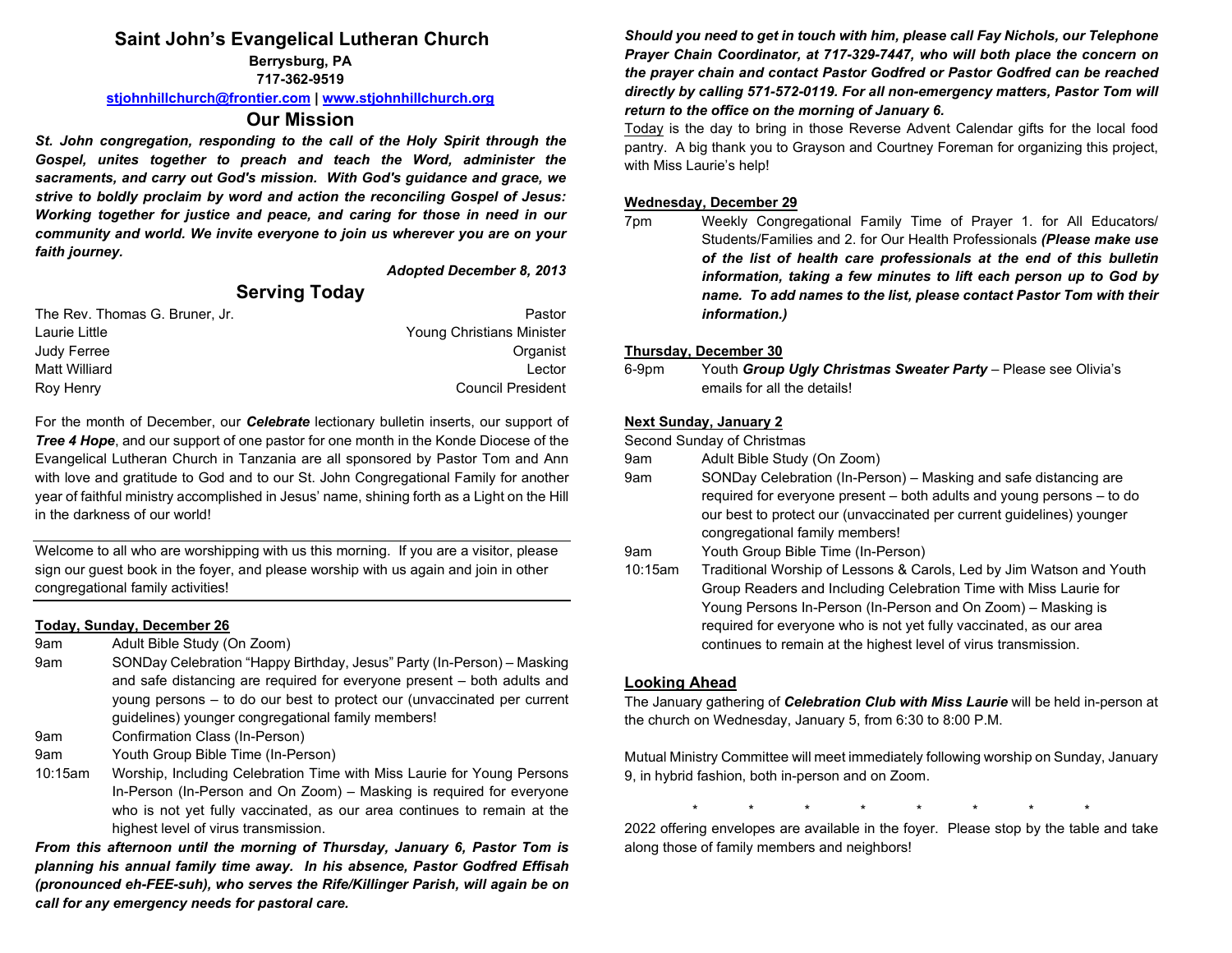# **Saint John's Evangelical Lutheran Church**

**Berrysburg, PA 717-362-9519**

**[stjohnhillchurch@frontier.com](mailto:stjohnhillchurch@frontier.com) | [www.stjohnhillchurch.org](http://www.stjohnhillchurch.org/)**

# **Our Mission**

*St. John congregation, responding to the call of the Holy Spirit through the Gospel, unites together to preach and teach the Word, administer the sacraments, and carry out God's mission. With God's guidance and grace, we strive to boldly proclaim by word and action the reconciling Gospel of Jesus: Working together for justice and peace, and caring for those in need in our community and world. We invite everyone to join us wherever you are on your faith journey.*

*Adopted December 8, 2013*

# **Serving Today**

| The Rev. Thomas G. Bruner. Jr. | Pastor                    |
|--------------------------------|---------------------------|
| Laurie Little                  | Young Christians Minister |
| Judy Ferree                    | Organist                  |
| Matt Williard                  | Lector                    |
| Roy Henry                      | Council President         |

For the month of December, our *Celebrate* lectionary bulletin inserts, our support of *Tree 4 Hope*, and our support of one pastor for one month in the Konde Diocese of the Evangelical Lutheran Church in Tanzania are all sponsored by Pastor Tom and Ann with love and gratitude to God and to our St. John Congregational Family for another year of faithful ministry accomplished in Jesus' name, shining forth as a Light on the Hill in the darkness of our world!

Welcome to all who are worshipping with us this morning. If you are a visitor, please sign our guest book in the foyer, and please worship with us again and join in other congregational family activities!

# **Today, Sunday, December 26**

- 9am Adult Bible Study (On Zoom)
- 9am SONDay Celebration "Happy Birthday, Jesus" Party (In-Person) Masking and safe distancing are required for everyone present – both adults and young persons – to do our best to protect our (unvaccinated per current guidelines) younger congregational family members!
- 9am Confirmation Class (In-Person)
- 9am Youth Group Bible Time (In-Person)
- 10:15am Worship, Including Celebration Time with Miss Laurie for Young Persons In-Person (In-Person and On Zoom) – Masking is required for everyone who is not yet fully vaccinated, as our area continues to remain at the highest level of virus transmission.

*From this afternoon until the morning of Thursday, January 6, Pastor Tom is planning his annual family time away. In his absence, Pastor Godfred Effisah (pronounced eh-FEE-suh), who serves the Rife/Killinger Parish, will again be on call for any emergency needs for pastoral care.* 

*Should you need to get in touch with him, please call Fay Nichols, our Telephone Prayer Chain Coordinator, at 717-329-7447, who will both place the concern on the prayer chain and contact Pastor Godfred or Pastor Godfred can be reached directly by calling 571-572-0119. For all non-emergency matters, Pastor Tom will return to the office on the morning of January 6.*

Today is the day to bring in those Reverse Advent Calendar gifts for the local food pantry. A big thank you to Grayson and Courtney Foreman for organizing this project, with Miss Laurie's help!

## **Wednesday, December 29**

7pm Weekly Congregational Family Time of Prayer 1. for All Educators/ Students/Families and 2. for Our Health Professionals *(Please make use of the list of health care professionals at the end of this bulletin information, taking a few minutes to lift each person up to God by name. To add names to the list, please contact Pastor Tom with their information.)*

### **Thursday, December 30**

```
6-9pm Youth Group Ugly Christmas Sweater Party – Please see Olivia's 
emails for all the details!
```
### **Next Sunday, January 2**

Second Sunday of Christmas

- 9am Adult Bible Study (On Zoom)
- 9am SONDay Celebration (In-Person) Masking and safe distancing are required for everyone present – both adults and young persons – to do our best to protect our (unvaccinated per current guidelines) younger congregational family members!
- 9am Youth Group Bible Time (In-Person)
- 10:15am Traditional Worship of Lessons & Carols, Led by Jim Watson and Youth Group Readers and Including Celebration Time with Miss Laurie for Young Persons In-Person (In-Person and On Zoom) – Masking is required for everyone who is not yet fully vaccinated, as our area continues to remain at the highest level of virus transmission.

### **Looking Ahead**

The January gathering of *Celebration Club with Miss Laurie* will be held in-person at the church on Wednesday, January 5, from 6:30 to 8:00 P.M.

Mutual Ministry Committee will meet immediately following worship on Sunday, January 9, in hybrid fashion, both in-person and on Zoom.

\* \* \* \* \* \* \* \*

2022 offering envelopes are available in the foyer. Please stop by the table and take along those of family members and neighbors!